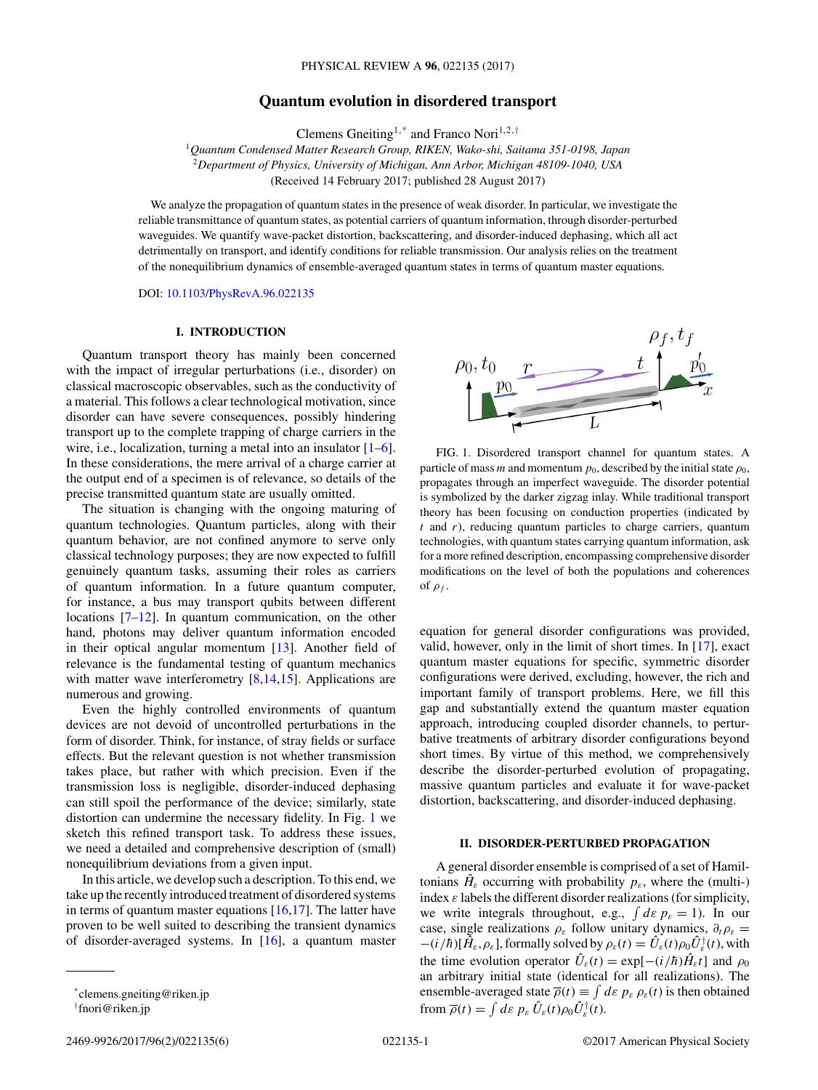# **Quantum evolution in disordered transport**

Clemens Gneiting<sup>1,\*</sup> and Franco Nori<sup>1,2,†</sup>

<sup>1</sup>*Quantum Condensed Matter Research Group, RIKEN, Wako-shi, Saitama 351-0198, Japan* <sup>2</sup>*Department of Physics, University of Michigan, Ann Arbor, Michigan 48109-1040, USA* (Received 14 February 2017; published 28 August 2017)

We analyze the propagation of quantum states in the presence of weak disorder. In particular, we investigate the reliable transmittance of quantum states, as potential carriers of quantum information, through disorder-perturbed waveguides. We quantify wave-packet distortion, backscattering, and disorder-induced dephasing, which all act detrimentally on transport, and identify conditions for reliable transmission. Our analysis relies on the treatment of the nonequilibrium dynamics of ensemble-averaged quantum states in terms of quantum master equations.

DOI: [10.1103/PhysRevA.96.022135](https://doi.org/10.1103/PhysRevA.96.022135)

## **I. INTRODUCTION**

Quantum transport theory has mainly been concerned with the impact of irregular perturbations (i.e., disorder) on classical macroscopic observables, such as the conductivity of a material. This follows a clear technological motivation, since disorder can have severe consequences, possibly hindering transport up to the complete trapping of charge carriers in the wire, i.e., localization, turning a metal into an insulator [\[1](#page-4-0)[–6\]](#page-5-0). In these considerations, the mere arrival of a charge carrier at the output end of a specimen is of relevance, so details of the precise transmitted quantum state are usually omitted.

The situation is changing with the ongoing maturing of quantum technologies. Quantum particles, along with their quantum behavior, are not confined anymore to serve only classical technology purposes; they are now expected to fulfill genuinely quantum tasks, assuming their roles as carriers of quantum information. In a future quantum computer, for instance, a bus may transport qubits between different locations [\[7–12\]](#page-5-0). In quantum communication, on the other hand, photons may deliver quantum information encoded in their optical angular momentum  $[13]$ . Another field of relevance is the fundamental testing of quantum mechanics with matter wave interferometry  $[8,14,15]$ . Applications are numerous and growing.

Even the highly controlled environments of quantum devices are not devoid of uncontrolled perturbations in the form of disorder. Think, for instance, of stray fields or surface effects. But the relevant question is not whether transmission takes place, but rather with which precision. Even if the transmission loss is negligible, disorder-induced dephasing can still spoil the performance of the device; similarly, state distortion can undermine the necessary fidelity. In Fig. 1 we sketch this refined transport task. To address these issues, we need a detailed and comprehensive description of (small) nonequilibrium deviations from a given input.

In this article, we develop such a description. To this end, we take up the recently introduced treatment of disordered systems in terms of quantum master equations [\[16,17\]](#page-5-0). The latter have proven to be well suited to describing the transient dynamics of disorder-averaged systems. In [\[16\]](#page-5-0), a quantum master



FIG. 1. Disordered transport channel for quantum states. A particle of mass *m* and momentum  $p_0$ , described by the initial state  $\rho_0$ , propagates through an imperfect waveguide. The disorder potential is symbolized by the darker zigzag inlay. While traditional transport theory has been focusing on conduction properties (indicated by *t* and *r*), reducing quantum particles to charge carriers, quantum technologies, with quantum states carrying quantum information, ask for a more refined description, encompassing comprehensive disorder modifications on the level of both the populations and coherences of  $\rho_f$ .

equation for general disorder configurations was provided, valid, however, only in the limit of short times. In [\[17\]](#page-5-0), exact quantum master equations for specific, symmetric disorder configurations were derived, excluding, however, the rich and important family of transport problems. Here, we fill this gap and substantially extend the quantum master equation approach, introducing coupled disorder channels, to perturbative treatments of arbitrary disorder configurations beyond short times. By virtue of this method, we comprehensively describe the disorder-perturbed evolution of propagating, massive quantum particles and evaluate it for wave-packet distortion, backscattering, and disorder-induced dephasing.

## **II. DISORDER-PERTURBED PROPAGATION**

A general disorder ensemble is comprised of a set of Hamiltonians  $\hat{H}_{\varepsilon}$  occurring with probability  $p_{\varepsilon}$ , where the (multi-) index  $\varepsilon$  labels the different disorder realizations (for simplicity, we write integrals throughout, e.g.,  $\int d\varepsilon p_{\varepsilon} = 1$ ). In our case, single realizations  $\rho_{\varepsilon}$  follow unitary dynamics,  $\partial_t \rho_{\varepsilon} =$  $-(i/\hbar)[\tilde{H}_{\varepsilon},\rho_{\varepsilon}]$ , formally solved by  $\rho_{\varepsilon}(t) = \hat{U}_{\varepsilon}(t)\rho_0\hat{U}_{\varepsilon}^{\dagger}(t)$ , with the time evolution operator  $\hat{U}_{\varepsilon}(t) = \exp[-(i/\hbar)\hat{H}_{\varepsilon}t]$  and  $\rho_0$ an arbitrary initial state (identical for all realizations). The ensemble-averaged state  $\overline{\rho}(t) \equiv \int d\varepsilon \, p_{\varepsilon} \, \rho_{\varepsilon}(t)$  is then obtained from  $\overline{\rho}(t) = \int d\varepsilon \ p_{\varepsilon} \hat{U}_{\varepsilon}(t) \rho_0 \hat{U}_{\varepsilon}^{\dagger}(t)$ .

<sup>\*</sup>clemens.gneiting@riken.jp

<sup>†</sup> fnori@riken.jp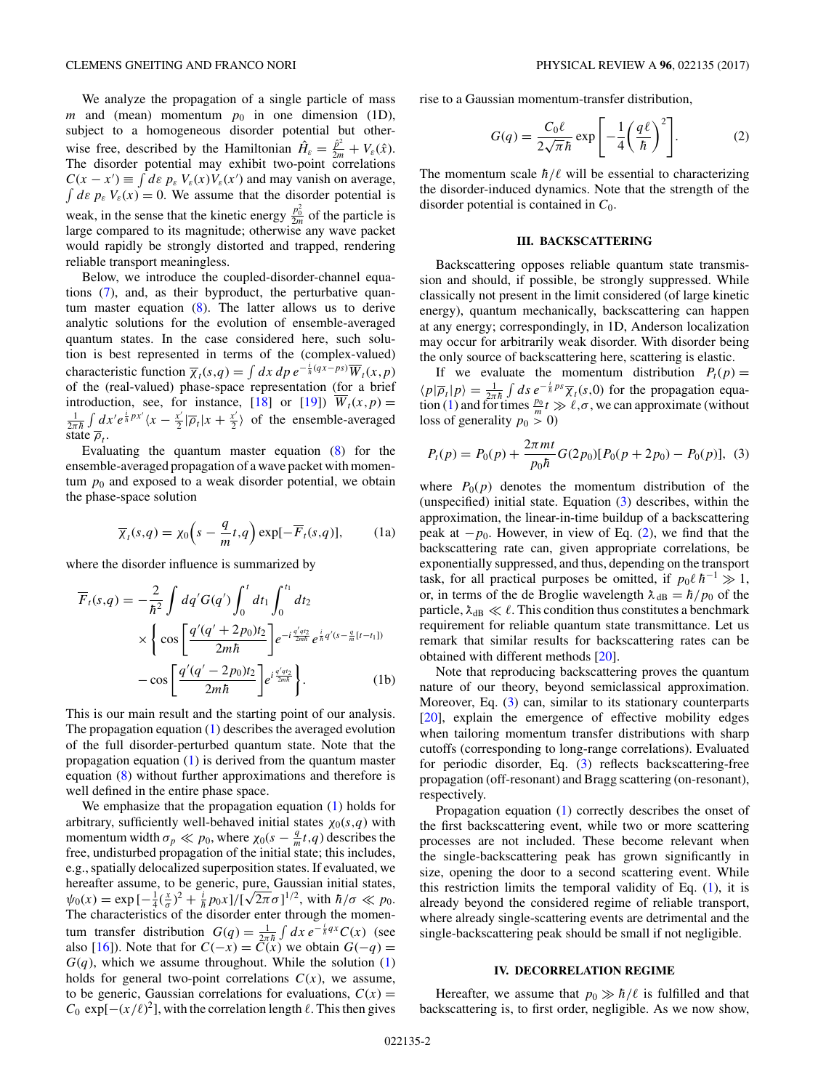<span id="page-1-0"></span>We analyze the propagation of a single particle of mass *m* and (mean) momentum  $p_0$  in one dimension (1D), subject to a homogeneous disorder potential but otherwise free, described by the Hamiltonian  $\hat{H}_{\varepsilon} = \frac{\hat{p}^2}{2m} + V_{\varepsilon}(\hat{x})$ . The disorder potential may exhibit two-point correlations  $C(x - x') \equiv \int d\varepsilon p_{\varepsilon} V_{\varepsilon}(x) V_{\varepsilon}(x')$  and may vanish on average,  $\int d\varepsilon p_{\varepsilon} V_{\varepsilon}(x) = 0$ . We assume that the disorder potential is weak, in the sense that the kinetic energy  $\frac{p_0^2}{2m}$  of the particle is large compared to its magnitude; otherwise any wave packet would rapidly be strongly distorted and trapped, rendering reliable transport meaningless.

Below, we introduce the coupled-disorder-channel equations [\(7\)](#page-3-0), and, as their byproduct, the perturbative quantum master equation [\(8\)](#page-4-0). The latter allows us to derive analytic solutions for the evolution of ensemble-averaged quantum states. In the case considered here, such solution is best represented in terms of the (complex-valued) characteristic function  $\overline{\chi}_t(s,q) = \int dx \, dp \, e^{-\frac{i}{\hbar}(qx - ps)} \overline{W}_t(x,p)$ of the (real-valued) phase-space representation (for a brief introduction, see, for instance,  $[18]$  or  $[19]$ )  $W_t(x, p) =$  $\frac{1}{2\pi\hbar}\int dx' e^{\frac{i}{\hbar}px'}\langle x-\frac{x'}{2}|\overline{\rho}_t|x+\frac{x'}{2}\rangle$  of the ensemble-averaged state  $\overline{\rho}_t$ .

Evaluating the quantum master equation [\(8\)](#page-4-0) for the ensemble-averaged propagation of a wave packet with momentum  $p_0$  and exposed to a weak disorder potential, we obtain the phase-space solution

$$
\overline{\chi}_t(s,q) = \chi_0\left(s - \frac{q}{m}t,q\right) \exp[-\overline{F}_t(s,q)],\tag{1a}
$$

where the disorder influence is summarized by

$$
\overline{F}_t(s,q) = -\frac{2}{\hbar^2} \int dq' G(q') \int_0^t dt_1 \int_0^{t_1} dt_2
$$
\n
$$
\times \left\{ \cos \left[ \frac{q'(q'+2p_0)t_2}{2m\hbar} \right] e^{-i \frac{q'(q)}{2m\hbar}} e^{\frac{i}{\hbar} q'(s - \frac{q}{m}[t-t_1])} - \cos \left[ \frac{q'(q'-2p_0)t_2}{2m\hbar} \right] e^{i \frac{q'(q)}{2m\hbar}} \right\}.
$$
\n(1b)

This is our main result and the starting point of our analysis. The propagation equation (1) describes the averaged evolution of the full disorder-perturbed quantum state. Note that the propagation equation (1) is derived from the quantum master equation [\(8\)](#page-4-0) without further approximations and therefore is well defined in the entire phase space.

We emphasize that the propagation equation (1) holds for arbitrary, sufficiently well-behaved initial states  $\chi_0(s,q)$  with momentum width  $\sigma_p \ll p_0$ , where  $\chi_0(s - \frac{q}{m}t, q)$  describes the free, undisturbed propagation of the initial state; this includes, e.g., spatially delocalized superposition states. If evaluated, we hereafter assume, to be generic, pure, Gaussian initial states, *hereafter assume, to be generic, pure, Gaussian initial states,*<br>  $\psi_0(x) = \exp \left[-\frac{1}{4}(\frac{x}{\sigma})^2 + \frac{i}{\hbar} p_0 x\right] / [\sqrt{2\pi} \sigma]^{1/2}$ , with  $\hbar/\sigma \ll p_0$ . The characteristics of the disorder enter through the momentum transfer distribution  $G(q) = \frac{1}{2\pi\hbar} \int dx \, e^{-\frac{i}{\hbar}qx} C(x)$  (see also [\[16\]](#page-5-0)). Note that for  $C(-x) = \overline{C(x)}$  we obtain  $G(-q) =$  $G(q)$ , which we assume throughout. While the solution  $(1)$ holds for general two-point correlations  $C(x)$ , we assume, to be generic, Gaussian correlations for evaluations,  $C(x) =$  $C_0$  exp[ $-(x/\ell)^2$ ], with the correlation length  $\ell$ . This then gives

rise to a Gaussian momentum-transfer distribution,

$$
G(q) = \frac{C_0 \ell}{2\sqrt{\pi} \hbar} \exp\left[-\frac{1}{4} \left(\frac{q\ell}{\hbar}\right)^2\right].
$$
 (2)

The momentum scale  $\hbar/\ell$  will be essential to characterizing the disorder-induced dynamics. Note that the strength of the disorder potential is contained in *C*0.

#### **III. BACKSCATTERING**

Backscattering opposes reliable quantum state transmission and should, if possible, be strongly suppressed. While classically not present in the limit considered (of large kinetic energy), quantum mechanically, backscattering can happen at any energy; correspondingly, in 1D, Anderson localization may occur for arbitrarily weak disorder. With disorder being the only source of backscattering here, scattering is elastic.

If we evaluate the momentum distribution  $P_t(p) =$  $\langle p|\overline{\rho}_t|p\rangle = \frac{1}{2\pi\hbar}\int ds\,e^{-\frac{i}{\hbar}ps}\overline{\chi}_t(s,0)$  for the propagation equation (1) and for times  $\frac{p_0}{m}t \gg \ell, \sigma$ , we can approximate (without loss of generality  $p_0 > 0$ )

$$
P_t(p) = P_0(p) + \frac{2\pi mt}{p_0\hbar} G(2p_0)[P_0(p+2p_0) - P_0(p)], \quad (3)
$$

where  $P_0(p)$  denotes the momentum distribution of the (unspecified) initial state. Equation (3) describes, within the approximation, the linear-in-time buildup of a backscattering peak at  $-p_0$ . However, in view of Eq. (2), we find that the backscattering rate can, given appropriate correlations, be exponentially suppressed, and thus, depending on the transport task, for all practical purposes be omitted, if  $p_0 \ell \hbar^{-1} \gg 1$ , or, in terms of the de Broglie wavelength  $\lambda_{dB} = \hbar / p_0$  of the particle,  $\lambda_{dB} \ll l$ . This condition thus constitutes a benchmark requirement for reliable quantum state transmittance. Let us remark that similar results for backscattering rates can be obtained with different methods [\[20\]](#page-5-0).

Note that reproducing backscattering proves the quantum nature of our theory, beyond semiclassical approximation. Moreover, Eq. (3) can, similar to its stationary counterparts [\[20\]](#page-5-0), explain the emergence of effective mobility edges when tailoring momentum transfer distributions with sharp cutoffs (corresponding to long-range correlations). Evaluated for periodic disorder, Eq. (3) reflects backscattering-free propagation (off-resonant) and Bragg scattering (on-resonant), respectively.

Propagation equation (1) correctly describes the onset of the first backscattering event, while two or more scattering processes are not included. These become relevant when the single-backscattering peak has grown significantly in size, opening the door to a second scattering event. While this restriction limits the temporal validity of Eq. (1), it is already beyond the considered regime of reliable transport, where already single-scattering events are detrimental and the single-backscattering peak should be small if not negligible.

### **IV. DECORRELATION REGIME**

Hereafter, we assume that  $p_0 \gg \hbar/\ell$  is fulfilled and that backscattering is, to first order, negligible. As we now show,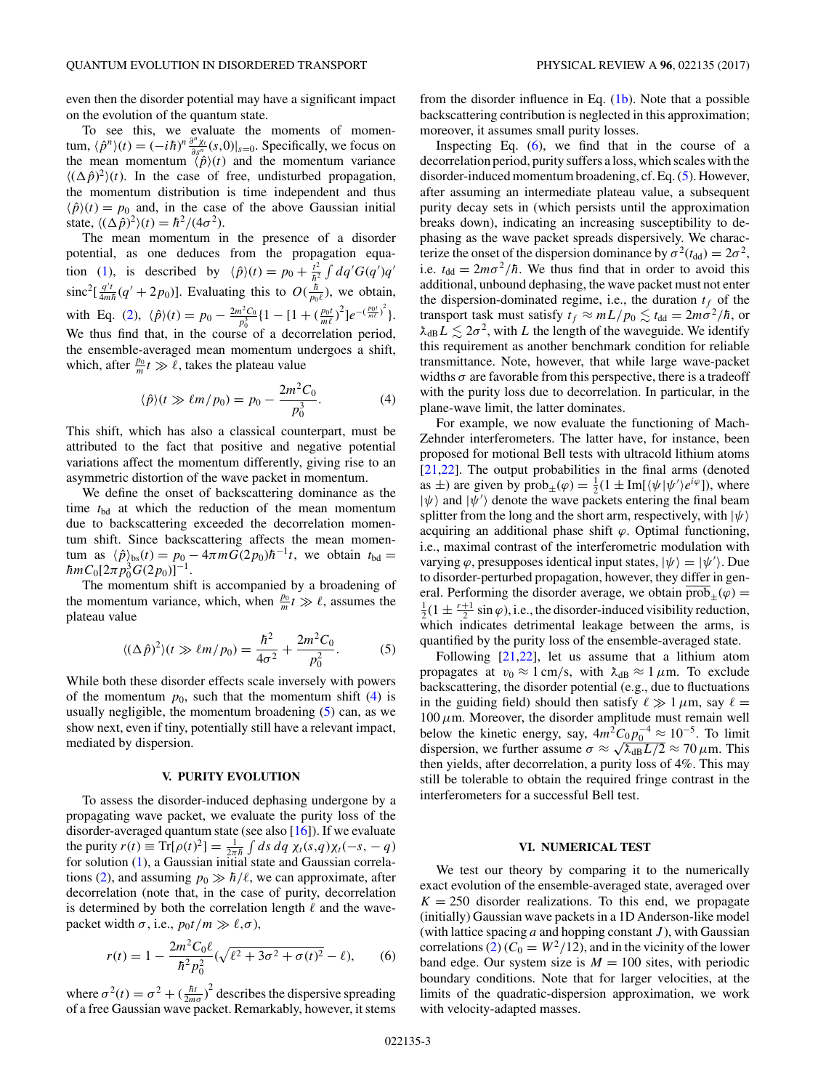<span id="page-2-0"></span>even then the disorder potential may have a significant impact on the evolution of the quantum state.

To see this, we evaluate the moments of momentum,  $\langle \hat{p}^n \rangle(t) = (-i\hbar)^n \frac{\partial^n \chi_t}{\partial s^n}(s,0)|_{s=0}$ . Specifically, we focus on the mean momentum  $\ddot{\langle \hat{p} \rangle}(t)$  and the momentum variance  $\langle (\Delta \hat{p})^2 \rangle$ (*t*). In the case of free, undisturbed propagation, the momentum distribution is time independent and thus  $\langle \hat{p} \rangle(t) = p_0$  and, in the case of the above Gaussian initial state,  $\langle (\Delta \hat{p})^2 \rangle(t) = \hbar^2/(4\sigma^2)$ .

The mean momentum in the presence of a disorder potential, as one deduces from the propagation equa-tion [\(1\)](#page-1-0), is described by  $\langle \hat{p} \rangle(t) = p_0 + \frac{t^2}{h^2} \int dq' G(q')q'$  $\sin^2\left[\frac{q't}{4m\hbar}(q'+2p_0)\right]$ . Evaluating this to  $O(\frac{\hbar}{p_0\ell})$ , we obtain, with Eq. [\(2\)](#page-1-0),  $\langle \hat{p} \rangle(t) = p_0 - \frac{2m^2 C_0}{p_0^3} \{1 - \left[1 + \left(\frac{p_0 t}{m\ell}\right)^2\right] e^{-\left(\frac{p_0 t}{m\ell}\right)^2}$ . We thus find that, in the course of a decorrelation period, the ensemble-averaged mean momentum undergoes a shift, which, after  $\frac{p_0}{m}t \gg \ell$ , takes the plateau value

$$
\langle \hat{p} \rangle (t \gg \ell m / p_0) = p_0 - \frac{2m^2 C_0}{p_0^3}.
$$
 (4)

This shift, which has also a classical counterpart, must be attributed to the fact that positive and negative potential variations affect the momentum differently, giving rise to an asymmetric distortion of the wave packet in momentum.

We define the onset of backscattering dominance as the time  $t_{\text{bd}}$  at which the reduction of the mean momentum due to backscattering exceeded the decorrelation momentum shift. Since backscattering affects the mean momentum as  $\langle \hat{p} \rangle_{bs}(t) = p_0 - 4\pi m G(2p_0)\hbar^{-1}t$ , we obtain  $t_{bd} =$  $\hbar m C_0 [2\pi p_0^3 G(2p_0)]^{-1}.$ 

The momentum shift is accompanied by a broadening of the momentum variance, which, when  $\frac{p_0}{m}t \gg \ell$ , assumes the plateau value

$$
\langle (\Delta \hat{p})^2 \rangle (t \gg \ell m / p_0) = \frac{\hbar^2}{4\sigma^2} + \frac{2m^2 C_0}{p_0^2}.
$$
 (5)

While both these disorder effects scale inversely with powers of the momentum  $p_0$ , such that the momentum shift (4) is usually negligible, the momentum broadening (5) can, as we show next, even if tiny, potentially still have a relevant impact, mediated by dispersion.

#### **V. PURITY EVOLUTION**

To assess the disorder-induced dephasing undergone by a propagating wave packet, we evaluate the purity loss of the disorder-averaged quantum state (see also [\[16\]](#page-5-0)). If we evaluate the purity  $r(t) \equiv \text{Tr}[\rho(t)^2] = \frac{1}{2\pi\hbar} \int ds \, dq \, \chi_t(s,q) \chi_t(-s,-q)$ for solution [\(1\)](#page-1-0), a Gaussian initial state and Gaussian correla-tions [\(2\)](#page-1-0), and assuming  $p_0 \gg \hbar/\ell$ , we can approximate, after decorrelation (note that, in the case of purity, decorrelation is determined by both the correlation length  $\ell$  and the wavepacket width  $\sigma$ , i.e.,  $p_0 t/m \gg \ell, \sigma$ ,

$$
r(t) = 1 - \frac{2m^2C_0\ell}{\hbar^2 p_0^2} (\sqrt{\ell^2 + 3\sigma^2 + \sigma(t)^2} - \ell),
$$
 (6)

where  $\sigma^2(t) = \sigma^2 + \left(\frac{\hbar t}{2m\sigma}\right)^2$  describes the dispersive spreading of a free Gaussian wave packet. Remarkably, however, it stems from the disorder influence in Eq.  $(1b)$ . Note that a possible backscattering contribution is neglected in this approximation; moreover, it assumes small purity losses.

Inspecting Eq.  $(6)$ , we find that in the course of a decorrelation period, purity suffers a loss, which scales with the disorder-induced momentum broadening, cf. Eq. (5). However, after assuming an intermediate plateau value, a subsequent purity decay sets in (which persists until the approximation breaks down), indicating an increasing susceptibility to dephasing as the wave packet spreads dispersively. We characterize the onset of the dispersion dominance by  $\sigma^2(t_{dd}) = 2\sigma^2$ , i.e.  $t_{dd} = 2m\sigma^2/\hbar$ . We thus find that in order to avoid this additional, unbound dephasing, the wave packet must not enter the dispersion-dominated regime, i.e., the duration  $t_f$  of the transport task must satisfy  $t_f \approx mL/p_0 \lesssim t_{dd} = 2m\sigma^2/\hbar$ , or  $\lambda_{\text{dB}} L \lesssim 2\sigma^2$ , with *L* the length of the waveguide. We identify this requirement as another benchmark condition for reliable transmittance. Note, however, that while large wave-packet widths  $\sigma$  are favorable from this perspective, there is a tradeoff with the purity loss due to decorrelation. In particular, in the plane-wave limit, the latter dominates.

For example, we now evaluate the functioning of Mach-Zehnder interferometers. The latter have, for instance, been proposed for motional Bell tests with ultracold lithium atoms [\[21,22\]](#page-5-0). The output probabilities in the final arms (denoted as  $\pm$ ) are given by prob $_{\pm}(\varphi) = \frac{1}{2}(1 \pm \text{Im}[\langle \psi | \psi' \rangle e^{i\varphi}])$ , where  $|\psi\rangle$  and  $|\psi'\rangle$  denote the wave packets entering the final beam splitter from the long and the short arm, respectively, with  $|\psi\rangle$ acquiring an additional phase shift  $\varphi$ . Optimal functioning, i.e., maximal contrast of the interferometric modulation with varying  $\varphi$ , presupposes identical input states,  $|\psi\rangle = |\psi'\rangle$ . Due to disorder-perturbed propagation, however, they differ in general. Performing the disorder average, we obtain  $prob_+(\varphi) =$  $\frac{1}{2}(1 \pm \frac{r+1}{2}\sin\varphi)$ , i.e., the disorder-induced visibility reduction, which indicates detrimental leakage between the arms, is quantified by the purity loss of the ensemble-averaged state.

Following  $[21,22]$ , let us assume that a lithium atom propagates at  $v_0 \approx 1$  cm/s, with  $\lambda_{dB} \approx 1 \mu$ m. To exclude backscattering, the disorder potential (e.g., due to fluctuations in the guiding field) should then satisfy  $\ell \gg 1 \mu m$ , say  $\ell =$  $100 \mu$ m. Moreover, the disorder amplitude must remain well below the kinetic energy, say,  $4m^2C_0p_0^{-4} \approx 10^{-5}$ . To limit dispersion, we further assume  $\sigma \approx \sqrt{\lambda_{dB}L/2} \approx 70 \,\mu$ m. This then yields, after decorrelation, a purity loss of 4%. This may still be tolerable to obtain the required fringe contrast in the interferometers for a successful Bell test.

## **VI. NUMERICAL TEST**

We test our theory by comparing it to the numerically exact evolution of the ensemble-averaged state, averaged over  $K = 250$  disorder realizations. To this end, we propagate (initially) Gaussian wave packets in a 1D Anderson-like model (with lattice spacing *a* and hopping constant *J* ), with Gaussian correlations [\(2\)](#page-1-0) ( $C_0 = W^2/12$ ), and in the vicinity of the lower band edge. Our system size is  $M = 100$  sites, with periodic boundary conditions. Note that for larger velocities, at the limits of the quadratic-dispersion approximation, we work with velocity-adapted masses.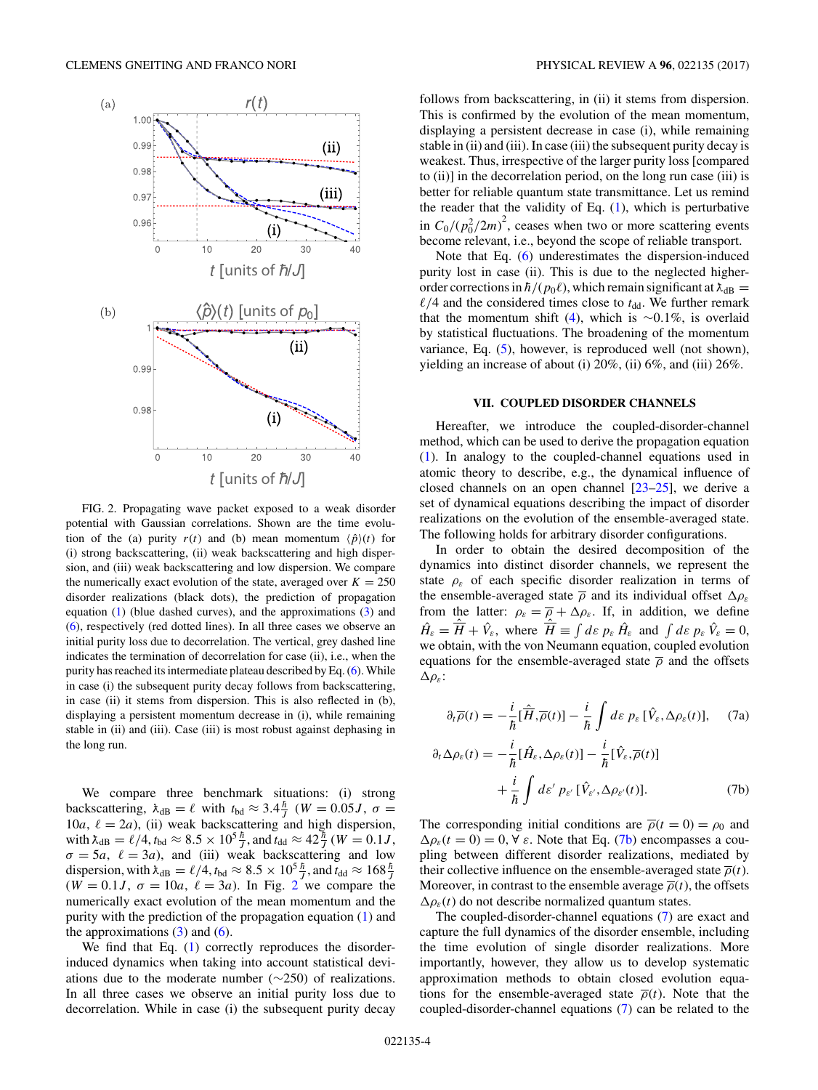<span id="page-3-0"></span>

FIG. 2. Propagating wave packet exposed to a weak disorder potential with Gaussian correlations. Shown are the time evolution of the (a) purity  $r(t)$  and (b) mean momentum  $\langle \hat{p} \rangle(t)$  for (i) strong backscattering, (ii) weak backscattering and high dispersion, and (iii) weak backscattering and low dispersion. We compare the numerically exact evolution of the state, averaged over  $K = 250$ disorder realizations (black dots), the prediction of propagation equation [\(1\)](#page-1-0) (blue dashed curves), and the approximations [\(3\)](#page-1-0) and [\(6\)](#page-2-0), respectively (red dotted lines). In all three cases we observe an initial purity loss due to decorrelation. The vertical, grey dashed line indicates the termination of decorrelation for case (ii), i.e., when the purity has reached its intermediate plateau described by Eq. [\(6\)](#page-2-0). While in case (i) the subsequent purity decay follows from backscattering, in case (ii) it stems from dispersion. This is also reflected in (b), displaying a persistent momentum decrease in (i), while remaining stable in (ii) and (iii). Case (iii) is most robust against dephasing in the long run.

We compare three benchmark situations: (i) strong backscattering,  $\lambda_{dB} = \ell$  with  $t_{bd} \approx 3.4 \frac{\hbar}{J}$  (*W* = 0.05*J*,  $\sigma$  = 10*a*,  $\ell = 2a$ , (ii) weak backscattering and high dispersion,  $\text{with } \lambda_{\text{dB}} = \ell/4, t_{\text{bd}} \approx 8.5 \times 10^5 \frac{\hbar}{J}, \text{and } t_{\text{dd}} \approx 42 \frac{\hbar}{J}$  (*W* = 0.1*J*,  $\sigma = 5a, \ \ell = 3a$ ), and (iii) weak backscattering and low dispersion, with  $\lambda_{dB} = \ell/4$ ,  $t_{bd} \approx 8.5 \times 10^5 \frac{\hbar}{J}$ , and  $t_{dd} \approx 168 \frac{\hbar}{J}$  $(W = 0.1J, \sigma = 10a, \ell = 3a)$ . In Fig. 2 we compare the numerically exact evolution of the mean momentum and the purity with the prediction of the propagation equation [\(1\)](#page-1-0) and the approximations  $(3)$  and  $(6)$ .

We find that Eq. [\(1\)](#page-1-0) correctly reproduces the disorderinduced dynamics when taking into account statistical deviations due to the moderate number ( $\sim$ 250) of realizations. In all three cases we observe an initial purity loss due to decorrelation. While in case (i) the subsequent purity decay

follows from backscattering, in (ii) it stems from dispersion. This is confirmed by the evolution of the mean momentum, displaying a persistent decrease in case (i), while remaining stable in (ii) and (iii). In case (iii) the subsequent purity decay is weakest. Thus, irrespective of the larger purity loss [compared to (ii)] in the decorrelation period, on the long run case (iii) is better for reliable quantum state transmittance. Let us remind the reader that the validity of Eq.  $(1)$ , which is perturbative in  $C_0/(p_0^2/2m)^2$ , ceases when two or more scattering events become relevant, i.e., beyond the scope of reliable transport.

Note that Eq. [\(6\)](#page-2-0) underestimates the dispersion-induced purity lost in case (ii). This is due to the neglected higherorder corrections in  $\hbar/(p_0\ell)$ , which remain significant at  $\lambda_{dB}$  =  $\ell/4$  and the considered times close to  $t_{dd}$ . We further remark that the momentum shift [\(4\)](#page-2-0), which is ∼0*.*1%, is overlaid by statistical fluctuations. The broadening of the momentum variance, Eq. [\(5\)](#page-2-0), however, is reproduced well (not shown), yielding an increase of about (i) 20%, (ii) 6%, and (iii) 26%.

## **VII. COUPLED DISORDER CHANNELS**

Hereafter, we introduce the coupled-disorder-channel method, which can be used to derive the propagation equation [\(1\)](#page-1-0). In analogy to the coupled-channel equations used in atomic theory to describe, e.g., the dynamical influence of closed channels on an open channel [\[23–25\]](#page-5-0), we derive a set of dynamical equations describing the impact of disorder realizations on the evolution of the ensemble-averaged state. The following holds for arbitrary disorder configurations.

In order to obtain the desired decomposition of the dynamics into distinct disorder channels, we represent the state  $\rho_{\varepsilon}$  of each specific disorder realization in terms of the ensemble-averaged state  $\bar{\rho}$  and its individual offset  $\Delta \rho_{\varepsilon}$ from the latter:  $\rho_{\varepsilon} = \overline{\rho} + \Delta \rho_{\varepsilon}$ . If, in addition, we define  $\hat{H}_{\varepsilon} = \hat{H} + \hat{V}_{\varepsilon}$ , where  $\hat{H} \equiv \int d\varepsilon \ p_{\varepsilon} \hat{H}_{\varepsilon}$  and  $\int d\varepsilon \ p_{\varepsilon} \hat{V}_{\varepsilon} = 0$ , we obtain, with the von Neumann equation, coupled evolution equations for the ensemble-averaged state  $\bar{\rho}$  and the offsets *ρε*:

$$
\partial_t \overline{\rho}(t) = -\frac{i}{\hbar} [\hat{\overline{H}}, \overline{\rho}(t)] - \frac{i}{\hbar} \int d\varepsilon \ p_{\varepsilon} [\hat{V}_{\varepsilon}, \Delta \rho_{\varepsilon}(t)], \quad (7a)
$$

$$
\partial_t \Delta \rho_{\varepsilon}(t) = -\frac{i}{\hbar} [\hat{H}_{\varepsilon}, \Delta \rho_{\varepsilon}(t)] - \frac{i}{\hbar} [\hat{V}_{\varepsilon}, \overline{\rho}(t)]
$$

$$
+\frac{i}{\hbar}\int d\varepsilon' p_{\varepsilon'}[\hat{V}_{\varepsilon'},\Delta\rho_{\varepsilon'}(t)].\tag{7b}
$$

The corresponding initial conditions are  $\overline{\rho}(t=0) = \rho_0$  and  $\Delta \rho_{\varepsilon}(t=0) = 0$ ,  $\forall \varepsilon$ . Note that Eq. (7b) encompasses a coupling between different disorder realizations, mediated by their collective influence on the ensemble-averaged state  $\overline{\rho}(t)$ . Moreover, in contrast to the ensemble average  $\overline{\rho}(t)$ , the offsets  $\Delta \rho_{\varepsilon}(t)$  do not describe normalized quantum states.

The coupled-disorder-channel equations (7) are exact and capture the full dynamics of the disorder ensemble, including the time evolution of single disorder realizations. More importantly, however, they allow us to develop systematic approximation methods to obtain closed evolution equations for the ensemble-averaged state  $\overline{\rho}(t)$ . Note that the coupled-disorder-channel equations (7) can be related to the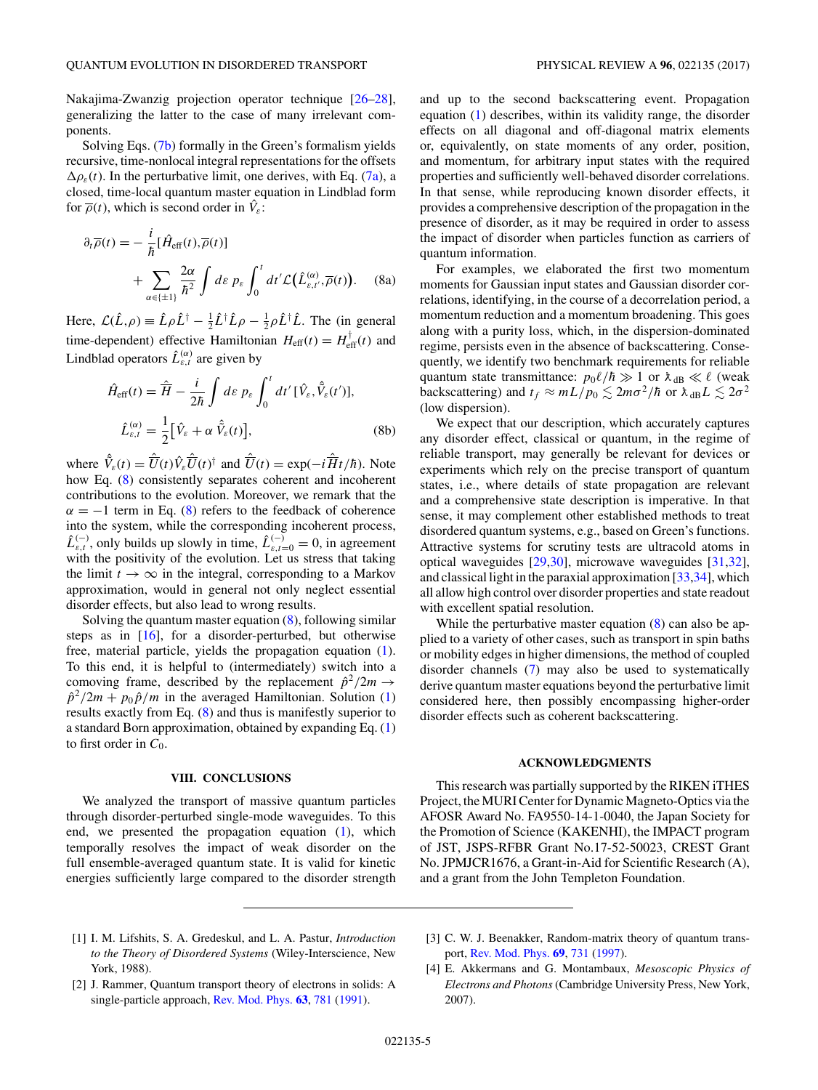<span id="page-4-0"></span>Nakajima-Zwanzig projection operator technique [\[26–28\]](#page-5-0), generalizing the latter to the case of many irrelevant components.

Solving Eqs. [\(7b\)](#page-3-0) formally in the Green's formalism yields recursive, time-nonlocal integral representations for the offsets  $\Delta \rho_{\varepsilon}(t)$ . In the perturbative limit, one derives, with Eq. [\(7a\)](#page-3-0), a closed, time-local quantum master equation in Lindblad form for  $\overline{\rho}(t)$ , which is second order in  $\hat{V}_\varepsilon$ :

$$
\partial_t \overline{\rho}(t) = -\frac{i}{\hbar} [\hat{H}_{\text{eff}}(t), \overline{\rho}(t)] + \sum_{\alpha \in \{\pm 1\}} \frac{2\alpha}{\hbar^2} \int d\varepsilon \, p_\varepsilon \int_0^t dt' \mathcal{L}(\hat{L}_{\varepsilon, t'}^{(\alpha)}, \overline{\rho}(t)). \tag{8a}
$$

Here,  $\mathcal{L}(\hat{L}, \rho) \equiv \hat{L}\rho \hat{L}^{\dagger} - \frac{1}{2}\hat{L}^{\dagger}\hat{L}\rho - \frac{1}{2}\rho \hat{L}^{\dagger}\hat{L}$ . The (in general time-dependent) effective Hamiltonian  $H_{\text{eff}}(t) = H_{\text{eff}}^{T}(t)$  and Lindblad operators  $\hat{L}_{\varepsilon,t}^{(\alpha)}$  are given by

$$
\hat{H}_{\text{eff}}(t) = \hat{\overline{H}} - \frac{i}{2\hbar} \int d\varepsilon \ p_{\varepsilon} \int_0^t dt' \, [\hat{V}_{\varepsilon}, \hat{\tilde{V}}_{\varepsilon}(t')],
$$
\n
$$
\hat{L}_{\varepsilon,t}^{(\alpha)} = \frac{1}{2} [\hat{V}_{\varepsilon} + \alpha \ \hat{V}_{\varepsilon}(t)], \tag{8b}
$$

where  $\hat{\vec{V}}_{\varepsilon}(t) = \hat{\vec{U}}(t)\hat{V}_{\varepsilon}\hat{\vec{U}}(t)^{\dagger}$  and  $\hat{\vec{U}}(t) = \exp(-i\hat{\vec{H}}t/\hbar)$ . Note how Eq. (8) consistently separates coherent and incoherent contributions to the evolution. Moreover, we remark that the  $\alpha = -1$  term in Eq. (8) refers to the feedback of coherence into the system, while the corresponding incoherent process,  $\hat{L}_{\varepsilon,t}^{(-)}$ , only builds up slowly in time,  $\hat{L}_{\varepsilon,t=0}^{(-)} = 0$ , in agreement with the positivity of the evolution. Let us stress that taking the limit  $t \to \infty$  in the integral, corresponding to a Markov approximation, would in general not only neglect essential disorder effects, but also lead to wrong results.

Solving the quantum master equation  $(8)$ , following similar steps as in [\[16\]](#page-5-0), for a disorder-perturbed, but otherwise free, material particle, yields the propagation equation [\(1\)](#page-1-0). To this end, it is helpful to (intermediately) switch into a comoving frame, described by the replacement  $\hat{p}^2/2m \rightarrow$  $\hat{p}^2/2m + p_0\hat{p}/m$  in the averaged Hamiltonian. Solution [\(1\)](#page-1-0) results exactly from Eq. (8) and thus is manifestly superior to a standard Born approximation, obtained by expanding Eq. [\(1\)](#page-1-0) to first order in  $C_0$ .

#### **VIII. CONCLUSIONS**

We analyzed the transport of massive quantum particles through disorder-perturbed single-mode waveguides. To this end, we presented the propagation equation [\(1\)](#page-1-0), which temporally resolves the impact of weak disorder on the full ensemble-averaged quantum state. It is valid for kinetic energies sufficiently large compared to the disorder strength and up to the second backscattering event. Propagation equation [\(1\)](#page-1-0) describes, within its validity range, the disorder effects on all diagonal and off-diagonal matrix elements or, equivalently, on state moments of any order, position, and momentum, for arbitrary input states with the required properties and sufficiently well-behaved disorder correlations. In that sense, while reproducing known disorder effects, it provides a comprehensive description of the propagation in the presence of disorder, as it may be required in order to assess the impact of disorder when particles function as carriers of quantum information.

For examples, we elaborated the first two momentum moments for Gaussian input states and Gaussian disorder correlations, identifying, in the course of a decorrelation period, a momentum reduction and a momentum broadening. This goes along with a purity loss, which, in the dispersion-dominated regime, persists even in the absence of backscattering. Consequently, we identify two benchmark requirements for reliable quantum state transmittance:  $p_0 l / \hbar \gg 1$  or  $\lambda_{dB} \ll l$  (weak backscattering) and  $t_f \approx mL/p_0 \lesssim 2m\sigma^2/\hbar$  or  $\lambda_{dB}L \lesssim 2\sigma^2$ (low dispersion).

We expect that our description, which accurately captures any disorder effect, classical or quantum, in the regime of reliable transport, may generally be relevant for devices or experiments which rely on the precise transport of quantum states, i.e., where details of state propagation are relevant and a comprehensive state description is imperative. In that sense, it may complement other established methods to treat disordered quantum systems, e.g., based on Green's functions. Attractive systems for scrutiny tests are ultracold atoms in optical waveguides [\[29,30\]](#page-5-0), microwave waveguides [\[31,32\]](#page-5-0), and classical light in the paraxial approximation [\[33,34\]](#page-5-0), which all allow high control over disorder properties and state readout with excellent spatial resolution.

While the perturbative master equation (8) can also be applied to a variety of other cases, such as transport in spin baths or mobility edges in higher dimensions, the method of coupled disorder channels [\(7\)](#page-3-0) may also be used to systematically derive quantum master equations beyond the perturbative limit considered here, then possibly encompassing higher-order disorder effects such as coherent backscattering.

## **ACKNOWLEDGMENTS**

This research was partially supported by the RIKEN iTHES Project, the MURI Center for Dynamic Magneto-Optics via the AFOSR Award No. FA9550-14-1-0040, the Japan Society for the Promotion of Science (KAKENHI), the IMPACT program of JST, JSPS-RFBR Grant No.17-52-50023, CREST Grant No. JPMJCR1676, a Grant-in-Aid for Scientific Research (A), and a grant from the John Templeton Foundation.

- [1] I. M. Lifshits, S. A. Gredeskul, and L. A. Pastur, *Introduction to the Theory of Disordered Systems* (Wiley-Interscience, New York, 1988).
- [2] J. Rammer, Quantum transport theory of electrons in solids: A single-particle approach, [Rev. Mod. Phys.](https://doi.org/10.1103/RevModPhys.63.781) **[63](https://doi.org/10.1103/RevModPhys.63.781)**, [781](https://doi.org/10.1103/RevModPhys.63.781) [\(1991\)](https://doi.org/10.1103/RevModPhys.63.781).
- [3] C. W. J. Beenakker, Random-matrix theory of quantum transport, [Rev. Mod. Phys.](https://doi.org/10.1103/RevModPhys.69.731) **[69](https://doi.org/10.1103/RevModPhys.69.731)**, [731](https://doi.org/10.1103/RevModPhys.69.731) [\(1997\)](https://doi.org/10.1103/RevModPhys.69.731).
- [4] E. Akkermans and G. Montambaux, *Mesoscopic Physics of Electrons and Photons*(Cambridge University Press, New York, 2007).